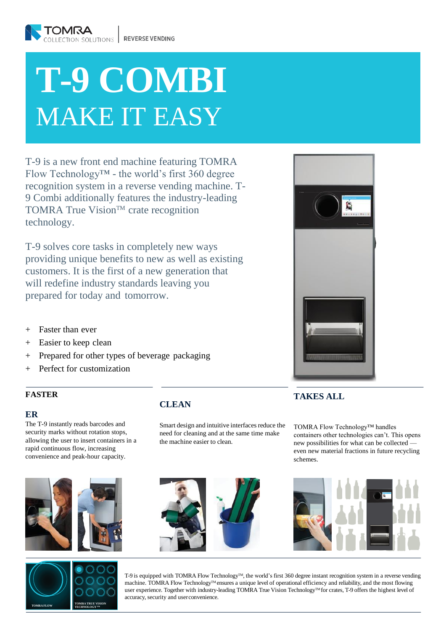# **T-9 COMBI** MAKE IT EASY

T-9 is a new front end machine featuring TOMRA Flow Technology™ - the world's first 360 degree recognition system in a reverse vending machine. T-9 Combi additionally features the industry-leading TOMRA True Vision™ crate recognition technology.

T-9 solves core tasks in completely new ways providing unique benefits to new as well as existing customers. It is the first of a new generation that will redefine industry standards leaving you prepared for today and tomorrow.

- + Faster than ever
- + Easier to keep clean
- + Prepared for other types of beverage packaging
- + Perfect for customization

### **FASTER**

#### **ER**

The T-9 instantly reads barcodes and security marks without rotation stops, allowing the user to insert containers in a rapid continuous flow, increasing convenience and peak-hour capacity.





# **CLEAN**

Smart design and intuitive interfaces reduce the need for cleaning and at the same time make the machine easier to clean.





T-9 is equipped with TOMRA Flow Technology™, the world's first 360 degree instant recognition system in a reverse vending machine. TOMRA Flow Technology™ ensures a unique level of operational efficiency and reliability, and the most flowing user experience. Together with industry-leading TOMRA True Vision Technology<sup>TM</sup> for crates, T-9 offers the highest level of accuracy, security and userconvenience.



## **TAKES ALL**

TOMRA Flow Technology™ handles containers other technologies can't. This opens new possibilities for what can be collected even new material fractions in future recycling schemes.